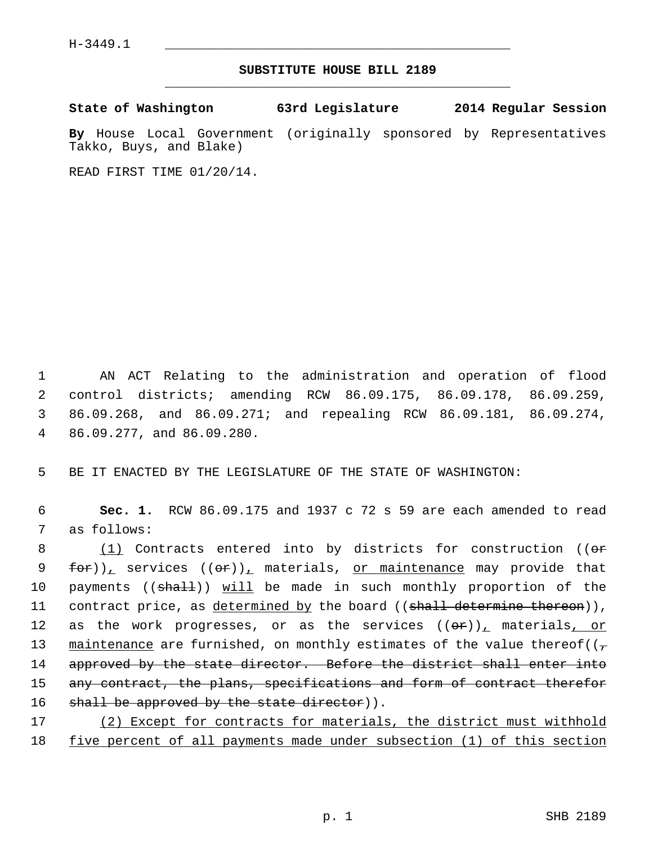## **SUBSTITUTE HOUSE BILL 2189** \_\_\_\_\_\_\_\_\_\_\_\_\_\_\_\_\_\_\_\_\_\_\_\_\_\_\_\_\_\_\_\_\_\_\_\_\_\_\_\_\_\_\_\_\_

**State of Washington 63rd Legislature 2014 Regular Session**

**By** House Local Government (originally sponsored by Representatives Takko, Buys, and Blake)

READ FIRST TIME 01/20/14.

 1 AN ACT Relating to the administration and operation of flood 2 control districts; amending RCW 86.09.175, 86.09.178, 86.09.259, 3 86.09.268, and 86.09.271; and repealing RCW 86.09.181, 86.09.274, 4 86.09.277, and 86.09.280.

5 BE IT ENACTED BY THE LEGISLATURE OF THE STATE OF WASHINGTON:

 6 **Sec. 1.** RCW 86.09.175 and 1937 c 72 s 59 are each amended to read 7 as follows:

8 (1) Contracts entered into by districts for construction (( $\Theta$ r 9 for)), services  $((\sigma \cdot)^{\mathbb{Z}})$  materials, or maintenance may provide that 10 payments ((shall)) will be made in such monthly proportion of the 11 contract price, as determined by the board ((shall determine thereon)), 12 as the work progresses, or as the services  $((\theta \cdot \hat{r}))_+$  materials, or 13 maintenance are furnished, on monthly estimates of the value thereof( $(\tau$ 14 approved by the state director. Before the district shall enter into 15 any contract, the plans, specifications and form of contract therefor 16 shall be approved by the state director)).

17 (2) Except for contracts for materials, the district must withhold 18 five percent of all payments made under subsection (1) of this section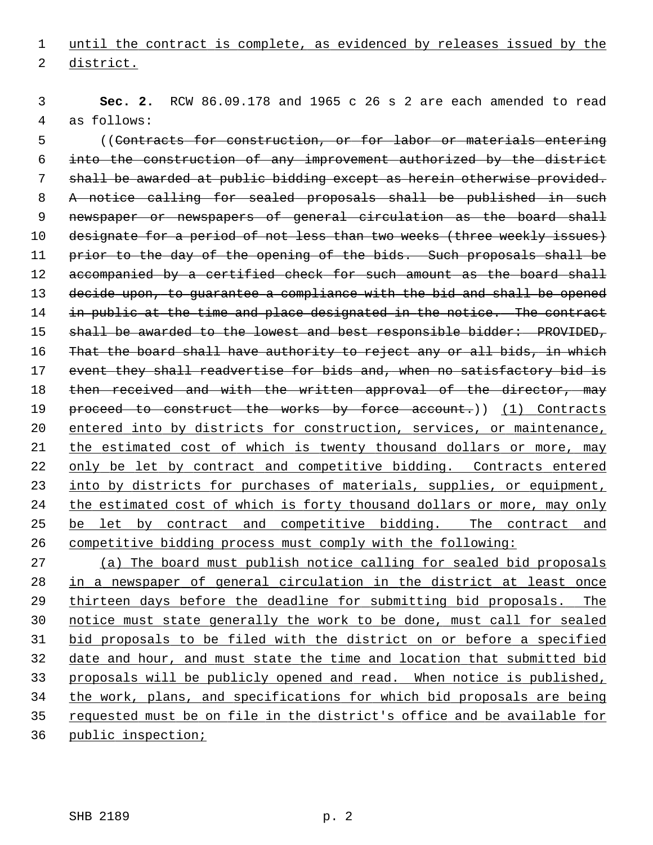1 until the contract is complete, as evidenced by releases issued by the 2 district.

 3 **Sec. 2.** RCW 86.09.178 and 1965 c 26 s 2 are each amended to read 4 as follows:

 5 ((Contracts for construction, or for labor or materials entering 6 into the construction of any improvement authorized by the district 7 shall be awarded at public bidding except as herein otherwise provided. 8 A notice calling for sealed proposals shall be published in such 9 newspaper or newspapers of general circulation as the board shall 10 designate for a period of not less than two weeks (three weekly issues) 11 prior to the day of the opening of the bids. Such proposals shall be 12 accompanied by a certified check for such amount as the board shall 13 decide upon, to guarantee a compliance with the bid and shall be opened 14 in public at the time and place designated in the notice. The contract 15 shall be awarded to the lowest and best responsible bidder: PROVIDED, 16 That the board shall have authority to reject any or all bids, in which 17 event they shall readvertise for bids and, when no satisfactory bid is 18 then received and with the written approval of the director, may 19 proceed to construct the works by force account.)) (1) Contracts 20 entered into by districts for construction, services, or maintenance, 21 the estimated cost of which is twenty thousand dollars or more, may 22 only be let by contract and competitive bidding. Contracts entered 23 into by districts for purchases of materials, supplies, or equipment, 24 the estimated cost of which is forty thousand dollars or more, may only 25 be let by contract and competitive bidding. The contract and 26 competitive bidding process must comply with the following:

 (a) The board must publish notice calling for sealed bid proposals in a newspaper of general circulation in the district at least once thirteen days before the deadline for submitting bid proposals. The notice must state generally the work to be done, must call for sealed bid proposals to be filed with the district on or before a specified date and hour, and must state the time and location that submitted bid proposals will be publicly opened and read. When notice is published, the work, plans, and specifications for which bid proposals are being requested must be on file in the district's office and be available for public inspection;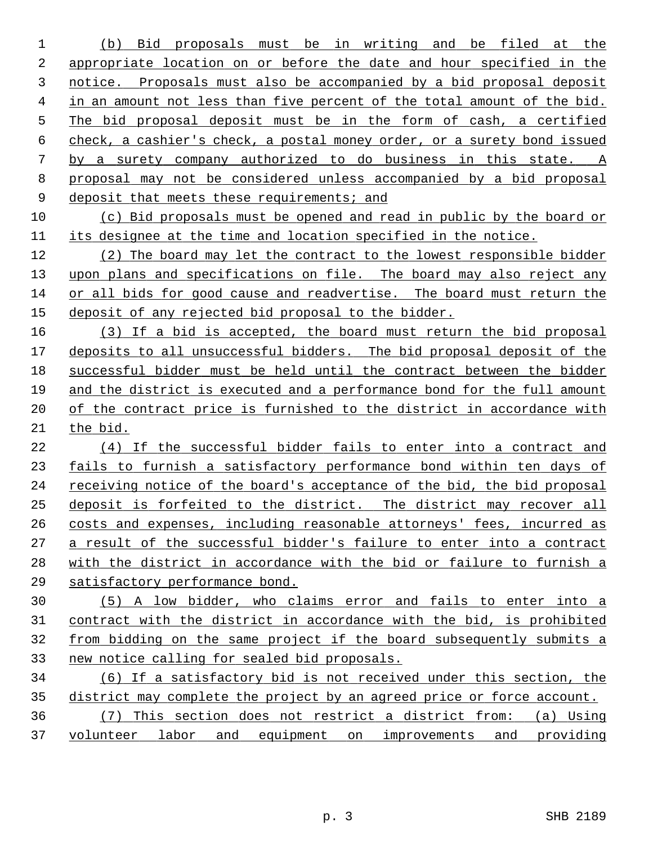(b) Bid proposals must be in writing and be filed at the appropriate location on or before the date and hour specified in the notice. Proposals must also be accompanied by a bid proposal deposit in an amount not less than five percent of the total amount of the bid. The bid proposal deposit must be in the form of cash, a certified check, a cashier's check, a postal money order, or a surety bond issued by a surety company authorized to do business in this state. A proposal may not be considered unless accompanied by a bid proposal 9 deposit that meets these requirements; and

 (c) Bid proposals must be opened and read in public by the board or its designee at the time and location specified in the notice.

 (2) The board may let the contract to the lowest responsible bidder upon plans and specifications on file. The board may also reject any or all bids for good cause and readvertise. The board must return the deposit of any rejected bid proposal to the bidder.

 (3) If a bid is accepted, the board must return the bid proposal deposits to all unsuccessful bidders. The bid proposal deposit of the successful bidder must be held until the contract between the bidder and the district is executed and a performance bond for the full amount of the contract price is furnished to the district in accordance with the bid.

 (4) If the successful bidder fails to enter into a contract and fails to furnish a satisfactory performance bond within ten days of 24 receiving notice of the board's acceptance of the bid, the bid proposal deposit is forfeited to the district. The district may recover all costs and expenses, including reasonable attorneys' fees, incurred as a result of the successful bidder's failure to enter into a contract with the district in accordance with the bid or failure to furnish a satisfactory performance bond.

 (5) A low bidder, who claims error and fails to enter into a contract with the district in accordance with the bid, is prohibited from bidding on the same project if the board subsequently submits a new notice calling for sealed bid proposals.

 (6) If a satisfactory bid is not received under this section, the district may complete the project by an agreed price or force account. (7) This section does not restrict a district from: (a) Using

volunteer labor and equipment on improvements and providing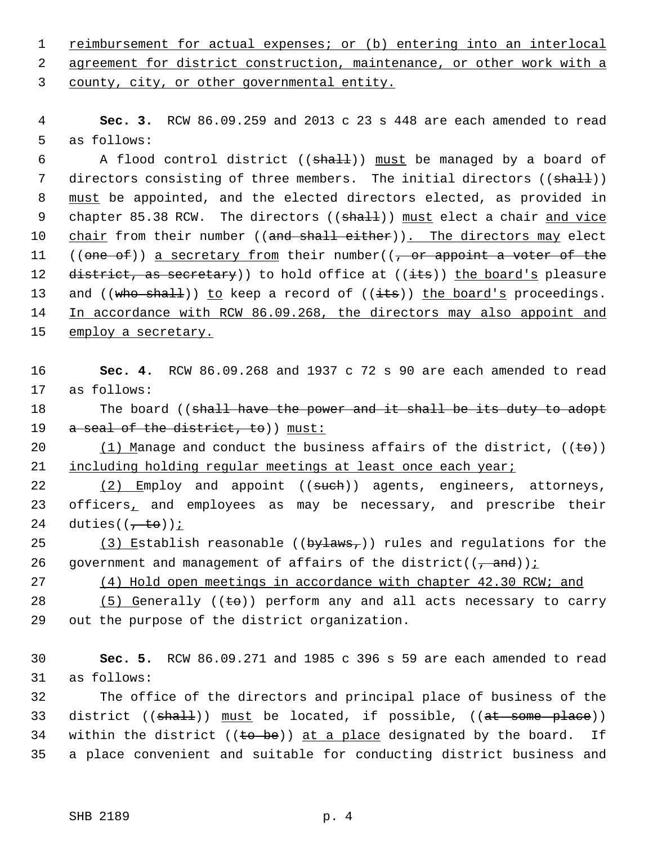1 reimbursement for actual expenses; or (b) entering into an interlocal 2 agreement for district construction, maintenance, or other work with a

3 county, city, or other governmental entity.

 4 **Sec. 3.** RCW 86.09.259 and 2013 c 23 s 448 are each amended to read 5 as follows:

6 A flood control district ( $(\text{shalt})$ ) must be managed by a board of 7 directors consisting of three members. The initial directors ((shall)) 8 must be appointed, and the elected directors elected, as provided in 9 chapter 85.38 RCW. The directors ((shall)) must elect a chair and vice 10 chair from their number ((and shall either)). The directors may elect 11 ((one of)) a secretary from their number( $\left($ , or appoint a voter of the 12 district, as secretary) to hold office at  $((its))$  the board's pleasure 13 and  $((who shall))$  to keep a record of  $((its))$  the board's proceedings. 14 In accordance with RCW 86.09.268, the directors may also appoint and 15 employ a secretary.

16 **Sec. 4.** RCW 86.09.268 and 1937 c 72 s 90 are each amended to read 17 as follows:

18 The board ((shall have the power and it shall be its duty to adopt 19 a seal of the district, to)) must:

20 (1) Manage and conduct the business affairs of the district,  $((\epsilon \Theta))$ 21 including holding regular meetings at least once each year;

22 (2) Employ and appoint ((such)) agents, engineers, attorneys, 23 officers, and employees as may be necessary, and prescribe their 24 duties( $(\frac{1}{1} \text{ to})$ );

25 (3) Establish reasonable (( $by$ laws,)) rules and regulations for the 26 government and management of affairs of the district( $(\frac{1}{1 + \text{and}})$ );

27 (4) Hold open meetings in accordance with chapter 42.30 RCW; and

28 (5) Generally ( $(\pm \sigma)$ ) perform any and all acts necessary to carry 29 out the purpose of the district organization.

30 **Sec. 5.** RCW 86.09.271 and 1985 c 396 s 59 are each amended to read 31 as follows:

32 The office of the directors and principal place of business of the 33 district ((shall)) must be located, if possible, ((at some place)) 34 within the district (( $\theta$  be)) at a place designated by the board. If 35 a place convenient and suitable for conducting district business and